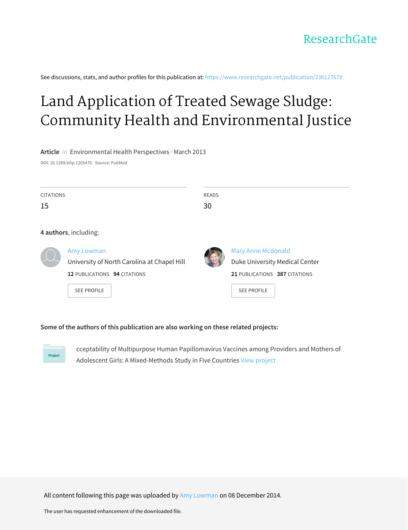

See discussions, stats, and author profiles for this publication at: [https://www.researchgate.net/publication/236127678](https://www.researchgate.net/publication/236127678_Land_Application_of_Treated_Sewage_Sludge_Community_Health_and_Environmental_Justice?enrichId=rgreq-a2374e9f45e4ee6c7bb09d3b9d224580-XXX&enrichSource=Y292ZXJQYWdlOzIzNjEyNzY3ODtBUzoxNzE5NjAwMjk5NDk5NTJAMTQxODAwOTg3NDgzMA%3D%3D&el=1_x_2&_esc=publicationCoverPdf)

# Land Application of Treated Sewage Sludge: Community Health and [Environmental](https://www.researchgate.net/publication/236127678_Land_Application_of_Treated_Sewage_Sludge_Community_Health_and_Environmental_Justice?enrichId=rgreq-a2374e9f45e4ee6c7bb09d3b9d224580-XXX&enrichSource=Y292ZXJQYWdlOzIzNjEyNzY3ODtBUzoxNzE5NjAwMjk5NDk5NTJAMTQxODAwOTg3NDgzMA%3D%3D&el=1_x_3&_esc=publicationCoverPdf) Justice

**Article** in Environmental Health Perspectives · March 2013

DOI: 10.1289/ehp.1205470 · Source: PubMed

| <b>CITATIONS</b><br>15 |                                                                                                                 | <b>READS</b><br>30 |                                                                                                                    |
|------------------------|-----------------------------------------------------------------------------------------------------------------|--------------------|--------------------------------------------------------------------------------------------------------------------|
|                        | 4 authors, including:                                                                                           |                    |                                                                                                                    |
|                        | Amy Lowman<br>University of North Carolina at Chapel Hill<br>12 PUBLICATIONS 94 CITATIONS<br><b>SEE PROFILE</b> |                    | <b>Mary Anne Mcdonald</b><br>Duke University Medical Center<br>21 PUBLICATIONS 387 CITATIONS<br><b>SEE PROFILE</b> |

#### **Some of the authors of this publication are also working on these related projects:**



cceptability of Multipurpose Human Papillomavirus Vaccines among Providers and Mothers of Adolescent Girls: A Mixed-Methods Study in Five Countries View [project](https://www.researchgate.net/project/cceptability-of-Multipurpose-Human-Papillomavirus-Vaccines-among-Providers-and-Mothers-of-Adolescent-Girls-A-Mixed-Methods-Study-in-Five-Countries?enrichId=rgreq-a2374e9f45e4ee6c7bb09d3b9d224580-XXX&enrichSource=Y292ZXJQYWdlOzIzNjEyNzY3ODtBUzoxNzE5NjAwMjk5NDk5NTJAMTQxODAwOTg3NDgzMA%3D%3D&el=1_x_9&_esc=publicationCoverPdf)

All content following this page was uploaded by Amy [Lowman](https://www.researchgate.net/profile/Amy_Lowman?enrichId=rgreq-a2374e9f45e4ee6c7bb09d3b9d224580-XXX&enrichSource=Y292ZXJQYWdlOzIzNjEyNzY3ODtBUzoxNzE5NjAwMjk5NDk5NTJAMTQxODAwOTg3NDgzMA%3D%3D&el=1_x_10&_esc=publicationCoverPdf) on 08 December 2014.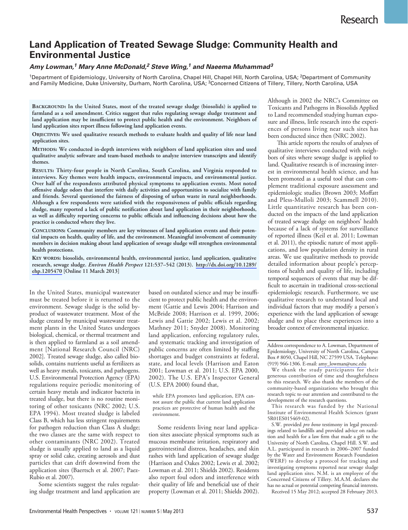# **Land Application of Treated Sewage Sludge: Community Health and Environmental Justice**

#### *Amy Lowman,1 Mary Anne McDonald,2 Steve Wing,1 and Naeema Muhammad3*

<sup>1</sup>Department of Epidemiology, University of North Carolina, Chapel Hill, Chapel Hill, North Carolina, USA; <sup>2</sup>Department of Community and Family Medicine, Duke University, Durham, North Carolina, USA; <sup>3</sup>Concerned Citizens of Tillery, Tillery, North Carolina, USA

**Background: In the United States, most of the treated sewage sludge (biosolids) is applied to farmland as a soil amendment. Critics suggest that rules regulating sewage sludge treatment and land application may be insufficient to protect public health and the environment. Neighbors of land application sites report illness following land application events.**

**Objectives: We used qualitative research methods to evaluate health and quality of life near land application sites.** 

**Methods: We conducted in-depth interviews with neighbors of land application sites and used qualitative analytic software and team-based methods to analyze interview transcripts and identify themes.**

**Results: Thirty-four people in North Carolina, South Carolina, and Virginia responded to interviews. Key themes were health impacts, environmental impacts, and environmental justice. Over half of the respondents attributed physical symptoms to application events. Most noted offensive sludge odors that interfere with daily activities and opportunities to socialize with family and friends. Several questioned the fairness of disposing of urban waste in rural neighborhoods. Although a few respondents were satisfied with the responsiveness of public officials regarding sludge, many reported a lack of public notification about land application in their neighborhoods, as well as difficulty reporting concerns to public officials and influencing decisions about how the practice is conducted where they live.**

**Conclusions: Community members are key witnesses of land application events and their potential impacts on health, quality of life, and the environment. Meaningful involvement of community members in decision making about land application of sewage sludge will strengthen environmental health protections.**

**Key words: biosolids, environmental health, environmental justice, land application, qualitative research, sewage sludge.** *Environ Health Perspect* **121:537–542 (2013). [http://dx.doi.org/10.1289/](http://dx.doi.org/10.1289/ehp.1205470) [ehp.1205470](http://dx.doi.org/10.1289/ehp.1205470) [Online 11 March 2013]**

In the United States, municipal wastewater must be treated before it is returned to the environment. Sewage sludge is the solid byproduct of wastewater treatment. Most of the sludge created by municipal wastewater treatment plants in the United States undergoes biological, chemical, or thermal treatment and is then applied to farmland as a soil amendment [National Research Council (NRC) 2002]. Treated sewage sludge, also called biosolids, contains nutrients useful as fertilizers as well as heavy metals, toxicants, and pathogens. U.S. Environmental Protection Agency (EPA) regulations require periodic monitoring of certain heavy metals and indicator bacteria in treated sludge, but there is no routine monitoring of other toxicants (NRC 2002; U.S. EPA 1994). Most treated sludge is labeled Class B, which has less stringent requirements for pathogen reduction than Class A sludge; the two classes are the same with respect to other contaminants (NRC 2002). Treated sludge is usually applied to land as a liquid spray or solid cake, creating aerosols and dust particles that can drift downwind from the application sites (Baertsch et al. 2007; Paez-Rubio et al. 2007).

Some scientists suggest the rules regulating sludge treatment and land application are based on outdated science and may be insufficient to protect public health and the environment (Gattie and Lewis 2004; Harrison and McBride 2008; Harrison et al. 1999, 2006; Lewis and Gattie 2002; Lewis et al. 2002; Mathney 2011; Snyder 2008). Monitoring land application, enforcing regulatory rules, and systematic tracking and investigation of public concerns are often limited by staffing shortages and budget constraints at federal, state, and local levels (Harrison and Eaton 2001; Lowman et al. 2011; U.S. EPA 2000, 2002). The U.S. EPA's Inspector General (U.S. EPA 2000) found that,

while EPA promotes land application, EPA cannot assure the public that current land application practices are protective of human health and the environment.

Some residents living near land application sites associate physical symptoms such as mucous membrane irritation, respiratory and gastrointestinal distress, headaches, and skin rashes with land application of sewage sludge (Harrison and Oakes 2002; Lewis et al. 2002; Lowman et al. 2011; Shields 2002). Residents also report foul odors and interference with their quality of life and beneficial use of their property (Lowman et al. 2011; Shields 2002).

Although in 2002 the NRC's Committee on Toxicants and Pathogens in Biosolids Applied to Land recommended studying human exposure and illness, little research into the experiences of persons living near such sites has been conducted since then (NRC 2002).

This article reports the results of analyses of qualitative interviews conducted with neighbors of sites where sewage sludge is applied to land. Qualitative research is of increasing interest in environmental health science, and has been promoted as a useful tool that can complement traditional exposure assessment and epidemiologic studies (Brown 2003; Moffatt and Pless-Mulloli 2003; Scammell 2010). Little quantitative research has been conducted on the impacts of the land application of treated sewage sludge on neighbors' health because of a lack of systems for surveillance of reported illness (Keil et al. 2011; Lowman et al. 2011), the episodic nature of most applications, and low population density in rural areas. We use qualitative methods to provide detailed information about people's perceptions of health and quality of life, including temporal sequences of events that may be difficult to ascertain in traditional cross-sectional epidemiologic research. Furthermore, we use qualitative research to understand local and individual factors that may modify a person's experience with the land application of sewage sludge and to place these experiences into a broader context of environmental injustice.

Address correspondence to A. Lowman, Department of Epidemiology, University of North Carolina, Campus Box # 8050, Chapel Hill, NC 27599 USA. Telephone: (919) 966-1306. E-mail: [amy\\_lowman@unc.edu](mailto: amy_lowman@unc.edu)

We thank the study participants for their generous contribution of time and thoughtfulness to this research. We also thank the members of the community-based organizations who brought this research topic to our attention and contributed to the development of the research questions.

This research was funded by the National Institute of Environmental Health Sciences (grant 5R01ES015469-02).

S.W. provided *pro bono* testimony in legal proceedings related to landfills and provided advice on radiation and health for a law firm that made a gift to the University of North Carolina, Chapel Hill. S.W. and A.L. participated in research in 2006–2007 funded by the Water and Environment Research Foundation (WERF) to develop a protocol for tracking and investigating symptoms reported near sewage sludge land application sites. N.M. is an employee of the Concerned Citizens of Tillery. M.A.M. declares she has no actual or potential competing financial interests. Received 15 May 2012; accepted 28 February 2013.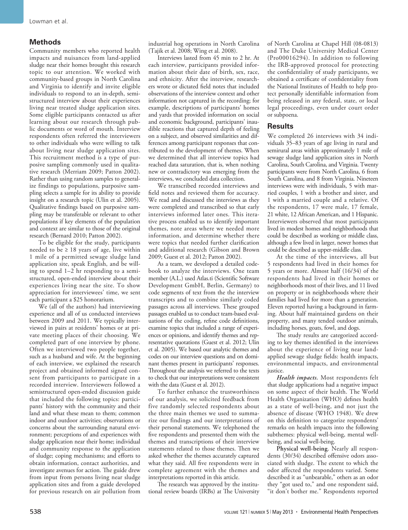## **Methods**

Community members who reported health impacts and nuisances from land-applied sludge near their homes brought this research topic to our attention. We worked with community-based groups in North Carolina and Virginia to identify and invite eligible individuals to respond to an in-depth, semistructured interview about their experiences living near treated sludge application sites. Some eligible participants contacted us after learning about our research through public documents or word of mouth. Interview respondents often referred the interviewers to other individuals who were willing to talk about living near sludge application sites. This recruitment method is a type of purposive sampling commonly used in qualitative research (Merriam 2009; Patton 2002). Rather than using random samples to generalize findings to populations, purposive sampling selects a sample for its ability to provide insight on a research topic (Ulin et al. 2005). Qualitative findings based on purposive sampling may be transferable or relevant to other populations if key elements of the population and context are similar to those of the original research (Bernard 2010; Patton 2002).

To be eligible for the study, participants needed to be  $\geq 18$  years of age, live within 1 mile of a permitted sewage sludge land application site, speak English, and be willing to spend 1–2 hr responding to a semistructured, open-ended interview about their experiences living near the site. To show appreciation for interviewees' time, we sent each participant a \$25 honorarium.

We (all of the authors) had interviewing experience and all of us conducted interviews between 2009 and 2011. We typically interviewed in pairs at residents' homes or at private meeting places of their choosing. We completed part of one interview by phone. Often we interviewed two people together, such as a husband and wife. At the beginning of each interview, we explained the research project and obtained informed signed consent from participants to participate in a recorded interview. Interviewers followed a semistructured open-ended discussion guide that included the following topics: participants' history with the community and their land and what these mean to them; common indoor and outdoor activities; observations or concerns about the surrounding natural environment; perceptions of and experiences with sludge application near their home; individual and community response to the application of sludge; coping mechanisms; and efforts to obtain information, contact authorities, and investigate avenues for action. The guide drew from input from persons living near sludge application sites and from a guide developed for previous research on air pollution from

industrial hog operations in North Carolina (Tajik et al. 2008; Wing et al. 2008).

Interviews lasted from 45 min to 2 hr. At each interview, participants provided information about their date of birth, sex, race, and ethnicity. After the interview, researchers wrote or dictated field notes that included observations of the interview context and other information not captured in the recording; for example, descriptions of participants' homes and yards that provided information on social and economic background, participants' inaudible reactions that captured depth of feeling on a subject, and observed similarities and differences among participant responses that contributed to the development of themes. When we determined that all interview topics had reached data saturation, that is, when nothing new or contradictory was emerging from the interviews, we concluded data collection.

We transcribed recorded interviews and field notes and reviewed them for accuracy. We read and discussed the interviews as they were completed and transcribed so that early interviews informed later ones. This iterative process enabled us to identify important themes, note areas where we needed more information, and determine whether there were topics that needed further clarification and additional research (Gibson and Brown 2009; Guest et al. 2012; Patton 2002).

As a team, we developed a detailed codebook to analyze the interviews. One team member (A.L.) used Atlas.ti (Scientific Software Development GmbH, Berlin, Germany) to code segments of text from the the interview transcripts and to combine similarly coded passages across all interviews. These grouped passages enabled us to conduct team-based evaluations of the coding, refine code definitions, examine topics that included a range of experiences or opinions, and identify themes and representative quotations (Guest et al. 2012; Ulin et al. 2005). We based our analytic themes and codes on our interview questions and on dominant themes present in participants' responses. Throughout the analysis we referred to the texts to check that our interpretations were consistent with the data (Guest et al. 2012).

To further enhance the trustworthiness of our analysis, we solicited feedback from five randomly selected respondents about the three main themes we used to summarize our findings and our interpretations of their personal statements. We telephoned the five respondents and presented them with the themes and transcriptions of their interview statements related to those themes. Then we asked whether the themes accurately captured what they said. All five respondents were in complete agreement with the themes and interpretations reported in this article.

The research was approved by the institutional review boards (IRBs) at The University of North Carolina at Chapel Hill (08-0813) and The Duke University Medical Center (Pro00016294). In addition to following the IRB-approved protocol for protecting the confidentiality of study participants, we obtained a certificate of confidentiality from the National Institutes of Health to help protect personally identifiable information from being released in any federal, state, or local legal proceedings, even under court order or subpoena.

### **Results**

We completed 26 interviews with 34 individuals 35–83 years of age living in rural and semirural areas within approximately 1 mile of sewage sludge land application sites in North Carolina, South Carolina, and Virginia. Twenty participants were from North Carolina, 6 from South Carolina, and 8 from Virginia. Nineteen interviews were with individuals, 5 with married couples, 1 with a brother and sister, and 1 with a married couple and a relative. Of the respondents, 17 were male, 17 female, 21 white, 12 African American, and 1 Hispanic. Interviewers observed that most participants lived in modest homes and neighborhoods that could be described as working or middle class, although a few lived in larger, newer homes that could be described as upper-middle class.

At the time of the interviews, all but 5 respondents had lived in their homes for 5 years or more. Almost half (16/34) of the respondents had lived in their homes or neighborhoods most of their lives, and 11 lived on property or in neighborhoods where their families had lived for more than a generation. Eleven reported having a background in farming. About half maintained gardens on their property, and many tended outdoor animals, including horses, goats, fowl, and dogs.

The study results are categorized according to key themes identified in the interviews about the experience of living near landapplied sewage sludge fields: health impacts, environmental impacts, and environmental justice.

*Health impacts.* Most respondents felt that sludge applications had a negative impact on some aspect of their health. The World Health Organization (WHO) defines health as a state of well-being, and not just the absence of disease (WHO 1948). We drew on this definition to categorize respondents' remarks on health impacts into the following subthemes: physical well-being, mental wellbeing, and social well-being.

**Physical well-being**. Nearly all respondents (30/34) described offensive odors associated with sludge. The extent to which the odor affected the respondents varied. Some described it as "unbearable," others as an odor they "got used to," and one respondent said, "it don't bother me." Respondents reported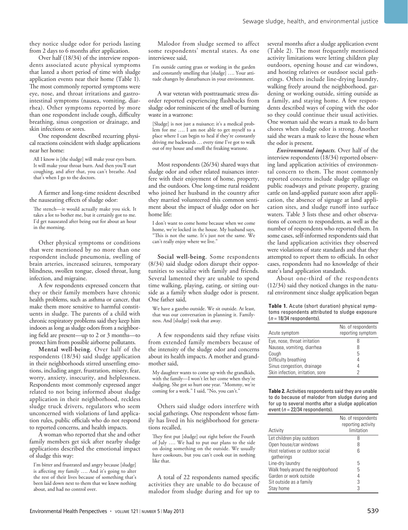they notice sludge odor for periods lasting from 2 days to 6 months after application.

Over half (18/34) of the interview respondents associated acute physical symptoms that lasted a short period of time with sludge application events near their home (Table 1). The most commonly reported symptoms were eye, nose, and throat irritations and gastrointestinal symptoms (nausea, vomiting, diarrhea). Other symptoms reported by more than one respondent include cough, difficulty breathing, sinus congestion or drainage, and skin infections or sores.

One respondent described recurring physical reactions coincident with sludge applications near her home:

All I know is [the sludge] will make your eyes burn. It will make your throat burn. And then you'll start coughing, and after that, you can't breathe. And that's when I go to the doctors.

A farmer and long-time resident described the nauseating effects of sludge odor:

The stench—it would actually make you sick. It takes a lot to bother me, but it certainly got to me. I'd get nauseated after being out for about an hour in the morning.

Other physical symptoms or conditions that were mentioned by no more than one respondent include pneumonia, swelling of brain arteries, increased seizures, temporary blindness, swollen tongue, closed throat, lung infection, and migraine.

A few respondents expressed concern that they or their family members have chronic health problems, such as asthma or cancer, that make them more sensitive to harmful constituents in sludge. The parents of a child with chronic respiratory problems said they keep him indoors as long as sludge odors from a neighboring field are present—up to 2 or 3 months—to protect him from possible airborne pollutants.

**Mental well-being**. Over half of the respondents (18/34) said sludge application in their neighborhoods stirred unsettling emotions, including anger, frustration, misery, fear, worry, anxiety, insecurity, and helplessness. Respondents most commonly expressed anger related to not being informed about sludge application in their neighborhood, reckless sludge truck drivers, regulators who seem unconcerned with violations of land application rules, public officials who do not respond to reported concerns, and health impacts.

A woman who reported that she and other family members get sick after nearby sludge applications described the emotional impact of sludge this way:

I'm bitter and frustrated and angry because [sludge] is affecting my family …. And it's going to alter the rest of their lives because of something that's been laid down next to them that we knew nothing about, and had no control over.

Malodor from sludge seemed to affect some respondents' mental states. As one interviewee said,

I'm outside cutting grass or working in the garden and constantly smelling that [sludge] …. Your attitude changes by disturbances in your environment.

A war veteran with posttraumatic stress disorder reported experiencing flashbacks from sludge odor reminiscent of the smell of burning waste in a warzone:

[Sludge] is not just a nuisance; it's a medical problem for me …. I am not able to get myself to a place where I can begin to heal if they're constantly driving me backwards … every time I've got to walk out of my house and smell the freaking warzone.

Most respondents (26/34) shared ways that sludge odor and other related nuisances interfere with their enjoyment of home, property, and the outdoors. One long-time rural resident who joined her husband in the country after they married volunteered this common sentiment about the impact of sludge odor on her home life:

I don't want to come home because when we come home, we're locked in the house. My husband says, "This is not the same. It's just not the same. We can't really enjoy where we live."

**Social well-being**. Some respondents (8/34) said sludge odors disrupt their opportunities to socialize with family and friends. Several lamented they are unable to spend time walking, playing, eating, or sitting outside as a family when sludge odor is present. One father said,

We have a gazebo outside. We sit outside. At least, that was our conversation in planning it. Familyness. And [sludge] took that away.

A few respondents said they refuse visits from extended family members because of the intensity of the sludge odor and concerns about its health impacts. A mother and grandmother said,

My daughter wants to come up with the grandkids, with the family—I won't let her come when they're sludging. She got so hurt one year. "Mommy, we're coming for a week." I said, "No, you can't."

Others said sludge odors interfere with social gatherings. One respondent whose family has lived in his neighborhood for generations recalled,

They first put [sludge] out right before the Fourth of July …. We had to put our plans to the side on doing something on the outside. We usually have cookouts, but you can't cook out in nothing like that.

A total of 22 respondents named specific activities they are unable to do because of malodor from sludge during and for up to

several months after a sludge application event (Table 2). The most frequently mentioned activity limitations were letting children play outdoors, opening house and car windows, and hosting relatives or outdoor social gatherings. Others include line-drying laundry, walking freely around the neighborhood, gardening or working outside, sitting outside as a family, and staying home. A few respondents described ways of coping with the odor so they could continue their usual activities. One woman said she wears a mask to do barn chores when sludge odor is strong. Another said she wears a mask to leave the house when the odor is present.

*Environmental impacts.* Over half of the interview respondents (18/34) reported observing land application activities of environmental concern to them. The most commonly reported concerns include sludge spillage on public roadways and private property, grazing cattle on land-applied pasture soon after application, the absence of signage at land application sites, and sludge runoff into surface waters. Table 3 lists these and other observations of concern to respondents, as well as the number of respondents who reported them. In some cases, self-informed respondents said that the land application activities they observed were violations of state standards and that they attempted to report them to officials. In other cases, respondents had no knowledge of their state's land application standards.

About one-third of the respondents (12/34) said they noticed changes in the natural environment since sludge application began

**Table 1.** Acute (short duration) physical symptoms respondents attributed to sludge exposure (*n* = 18/34 respondents).

|                                  | No. of respondents |
|----------------------------------|--------------------|
| Acute symptom                    | reporting symptom  |
| Eye, nose, throat irritation     |                    |
| Nausea, vomiting, diarrhea       | 8                  |
| Cough                            | 5                  |
| Difficulty breathing             |                    |
| Sinus congestion, drainage       |                    |
| Skin infection, irritation, sore |                    |

**Table 2.** Activities respondents said they are unable to do because of malodor from sludge during and for up to several months after a sludge application event (*n* = 22/34 respondents).

| Activity                                       | No. of respondents<br>reporting activity<br>limitation |
|------------------------------------------------|--------------------------------------------------------|
| Let children play outdoors                     | 8                                                      |
| Open house/car windows                         | 8                                                      |
| Host relatives or outdoor social<br>gatherings | հ                                                      |
| Line-dry laundry                               | 5                                                      |
| Walk freely around the neighborhood            | 5                                                      |
| Garden or work outside                         | 4                                                      |
| Sit outside as a family                        | 3                                                      |
| Stay home                                      |                                                        |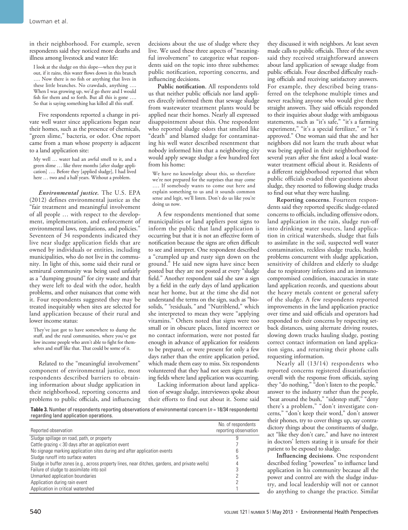in their neighborhood. For example, seven respondents said they noticed more deaths and illness among livestock and water life:

I look at the sludge on this slope—when they put it out, if it rains, this water flows down in this branch …. Now there is no fish or anything that lives in these little branches. No crawdads, anything …. When I was growing up, we'd go there and I would fish for them and so forth. But all this is gone …. So that is saying something has killed all this stuff.

Five respondents reported a change in private well water since applications began near their homes, such as the presence of chemicals, "green slime," bacteria, or odor. One report came from a man whose property is adjacent to a land application site:

My well … water had an awful smell to it, and a green slime ... like three months [after sludge application] …. Before they [applied sludge], I had lived here … two and a half years. Without a problem.

*Environmental justice.* The U.S. EPA (2012) defines environmental justice as the "fair treatment and meaningful involvement of all people … with respect to the development, implementation, and enforcement of environmental laws, regulations, and policies." Seventeen of 34 respondents indicated they live near sludge application fields that are owned by individuals or entities, including municipalities, who do not live in the community. In light of this, some said their rural or semirural community was being used unfairly as a "dumping ground" for city waste and that they were left to deal with the odor, health problems, and other nuisances that come with it. Four respondents suggested they may be treated inequitably when sites are selected for land application because of their rural and lower income status:

They've just got to have somewhere to dump the stuff, and the rural communities, where you've got low income people who aren't able to fight for themselves and stuff like that. That could be some of it.

Related to the "meaningful involvement" component of environmental justice, most respondents described barriers to obtaining information about sludge application in their neighborhood, reporting concerns and problems to public officials, and influencing

decisions about the use of sludge where they live. We used these three aspects of "meaningful involvement" to categorize what respondents said on the topic into three subthemes: public notification, reporting concerns, and influencing decisions.

**Public notification**. All respondents told us that neither public officials nor land appliers directly informed them that sewage sludge from wastewater treatment plants would be applied near their homes. Nearly all expressed disappointment about this. One respondent who reported sludge odors that smelled like "death" and blamed sludge for contaminating his well water described resentment that nobody informed him that a neighboring city would apply sewage sludge a few hundred feet from his home:

We have no knowledge about this, so therefore we're not prepared for the surprises that may come …. If somebody wants to come out here and explain something to us and it sounds common sense and legit, we'll listen. Don't do us like you're doing us now.

A few respondents mentioned that some municipalities or land appliers post signs to inform the public that land application is occurring but that it is not an effective form of notification because the signs are often difficult to see and interpret. One respondent described a "crumpled up and rusty sign down on the ground." He said new signs have since been posted but they are not posted at every "sludge field." Another respondent said she saw a sign by a field in the early days of land application near her home, but at the time she did not understand the terms on the sign, such as "biosolids*," "*residuals*,"* and "Nutriblend," which she interpreted to mean they were "applying vitamins." Others noted that signs were too small or in obscure places, listed incorrect or no contact information, were not posted far enough in advance of application for residents to be prepared, or were present for only a few days rather than the entire application period, which made them easy to miss. Six respondents volunteered that they had not seen signs marking fields where land application was occurring.

Lacking information about land application of sewage sludge, interviewees spoke about their efforts to find out about it. Some said

**Table 3.** Number of respondents reporting observations of environmental concern ( $n = 18/34$  respondents) regarding land application operations.

| Reported observation                                                                           | No. of respondents<br>reporting observation |
|------------------------------------------------------------------------------------------------|---------------------------------------------|
| Sludge spillage on road, path, or property                                                     | 9                                           |
| Cattle grazing < 30 days after an application event                                            |                                             |
| No signage marking application sites during and after application events                       | 6                                           |
| Sludge runoff into surface waters                                                              | 5                                           |
| Sludge in buffer zones (e.g., across property lines, near ditches, gardens, and private wells) |                                             |
| Failure of sludge to assimilate into soil                                                      |                                             |
| Unmarked application boundaries                                                                |                                             |
| Application during rain event                                                                  |                                             |
| Application in critical watershed                                                              |                                             |

they discussed it with neighbors. At least seven made calls to public officials. Three of the seven said they received straightforward answers about land application of sewage sludge from public officials. Four described difficulty reaching officials and receiving satisfactory answers. For example, they described being transferred on the telephone multiple times and never reaching anyone who would give them straight answers. They said officials responded to their inquiries about sludge with ambiguous statements, such as "it's safe," "it's a farming experiment," "it's a special fertilizer," or "it's approved." One woman said that she and her neighbors did not learn the truth about what was being applied in their neighborhood for several years after she first asked a local wastewater treatment official about it. Residents of a different neighborhood reported that when public officials evaded their questions about sludge, they resorted to following sludge trucks to find out what they were hauling.

**Reporting concerns**. Fourteen respondents said they reported specific sludge-related concerns to officials, including offensive odors, land application in the rain, sludge run-off into drinking water sources, land application in critical watersheds, sludge that fails to assimilate in the soil, suspected well water contamination, reckless sludge trucks, health problems concurrent with sludge application, sensitivity of children and elderly to sludge due to respiratory infections and an immunocompromised condition, inaccuracies in state land application records, and questions about the heavy metals content or general safety of the sludge. A few respondents reported improvements in the land application practice over time and said officials and operators had responded to their concerns by respecting setback distances, using alternate driving routes, slowing down trucks hauling sludge, posting correct contact information on land application signs, and returning their phone calls requesting information.

Nearly all (13/14) respondents who reported concerns registered dissatisfaction overall with the response from officials, saying they "do nothing," "don't listen to the people," answer to the industry rather than the people, "beat around the bush," "sidestep stuff," "deny there's a problem," "don't investigate concerns," "don't keep their word," don't answer their phones, try to cover things up, say contradictory things about the constituents of sludge, act "like they don't care," and have no interest in doctors' letters stating it is unsafe for their patient to be exposed to sludge.

**Influencing decisions**. One respondent described feeling "powerless" to influence land application in his community because all the power and control are with the sludge industry, and local leadership will not or cannot do anything to change the practice. Similar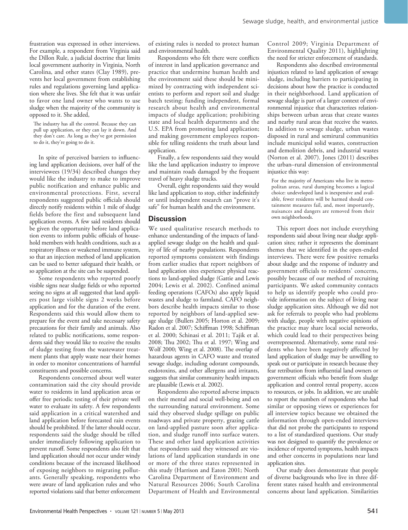frustration was expressed in other interviews. For example, a respondent from Virginia said the Dillon Rule, a judicial doctrine that limits local government authority in Virginia, North Carolina, and other states (Clay 1989), prevents her local government from establishing rules and regulations governing land application where she lives. She felt that it was unfair to favor one land owner who wants to use sludge when the majority of the community is opposed to it. She added,

The industry has all the control. Because they can pull up application, or they can lay it down. And they don't care. As long as they've got permission to do it, they're going to do it.

In spite of perceived barriers to influencing land application decisions, over half of the interviewees (19/34) described changes they would like the industry to make to improve public notification and enhance public and environmental protections. First, several respondents suggested public officials should directly notify residents within 1 mile of sludge fields before the first and subsequent land application events. A few said residents should be given the opportunity before land application events to inform public officials of household members with health conditions, such as a respiratory illness or weakened immune system, so that an injection method of land application can be used to better safeguard their health, or so application at the site can be suspended.

Some respondents who reported poorly visible signs near sludge fields or who reported seeing no signs at all suggested that land appliers post large visible signs 2 weeks before application and for the duration of the event. Respondents said this would allow them to prepare for the event and take necessary safety precautions for their family and animals. Also related to public notifications, some respondents said they would like to receive the results of sludge testing from the wastewater treatment plants that apply waste near their homes in order to monitor concentrations of harmful constituents and possible concerns.

Respondents concerned about well water contamination said the city should provide water to residents in land application areas or offer free periodic testing of their private well water to evaluate its safety. A few respondents said application in a critical watershed and land application before forecasted rain events should be prohibited. If the latter should occur, respondents said the sludge should be tilled under immediately following application to prevent runoff. Some respondents also felt that land application should not occur under windy conditions because of the increased likelihood of exposing neighbors to migrating pollutants. Generally speaking, respondents who were aware of land application rules and who reported violations said that better enforcement

of existing rules is needed to protect human and environmental health.

Respondents who felt there were conflicts of interest in land application governance and practice that undermine human health and the environment said these should be minimized by contracting with independent scientists to perform and report soil and sludge batch testing; funding independent, formal research about health and environmental impacts of sludge application; prohibiting state and local health departments and the U.S. EPA from promoting land application; and making government employees responsible for telling residents the truth about land application.

Finally, a few respondents said they would like the land application industry to improve and maintain roads damaged by the frequent travel of heavy sludge trucks.

Overall, eight respondents said they would like land application to stop, either indefinitely or until independent research can "prove it's safe" for human health and the environment.

## **Discussion**

We used qualitative research methods to enhance understanding of the impacts of landapplied sewage sludge on the health and quality of life of nearby populations. Respondents reported symptoms consistent with findings from earlier studies that report neighbors of land application sites experience physical reactions to land-applied sludge (Gattie and Lewis 2004; Lewis et al. 2002). Confined animal feeding operations (CAFOs) also apply liquid wastes and sludge to farmland. CAFO neighbors describe health impacts similar to those reported by neighbors of land-applied sewage sludge (Bullers 2005; Horton et al. 2009; Radon et al. 2007; Schiffman 1998; Schiffman et al. 2000; Schinasi et al. 2011; Tajik et al. 2008; Thu 2002; Thu et al. 1997; Wing and Wolf 2000; Wing et al. 2008). The overlap of hazardous agents in CAFO waste and treated sewage sludge, including odorant compounds, endotoxins, and other allergens and irritants, suggests that similar community health impacts are plausible (Lewis et al. 2002).

Respondents also reported adverse impacts on their mental and social well-being and on the surrounding natural environment. Some said they observed sludge spillage on public roadways and private property, grazing cattle on land-applied pasture soon after application, and sludge runoff into surface waters. These and other land application activities that respondents said they witnessed are violations of land application standards in one or more of the three states represented in this study (Harrison and Eaton 2001; North Carolina Department of Environment and Natural Resources 2006; South Carolina Department of Health and Environmental Control 2009; Virginia Department of Environmental Quality 2011), highlighting the need for stricter enforcement of standards.

Respondents also described environmental injustices related to land application of sewage sludge, including barriers to participating in decisions about how the practice is conducted in their neighborhood. Land application of sewage sludge is part of a larger context of environmental injustice that characterizes relationships between urban areas that create wastes and nearby rural areas that receive the wastes. In addition to sewage sludge, urban wastes disposed in rural and semirural communities include municipal solid wastes, construction and demolition debris, and industrial wastes (Norton et al. 2007). Jones (2011) describes the urban–rural dimension of environmental injustice this way:

For the majority of Americans who live in metropolitan areas, rural dumping becomes a logical choice: undeveloped land is inexpensive and available, fewer residents will be harmed should containment measures fail, and, most importantly, nuisances and dangers are removed from their own neighborhoods.

This report does not include everything respondents said about living near sludge application sites; rather it represents the dominant themes that we identified in the open-ended interviews. There were few positive remarks about sludge and the response of industry and government officials to residents' concerns, possibly because of our method of recruiting participants. We asked community contacts to help us identify people who could provide information on the subject of living near sludge application sites. Although we did not ask for referrals to people who had problems with sludge, people with negative opinions of the practice may share local social networks, which could lead to their perspectives being overrepresented. Alternatively, some rural residents who have been negatively affected by land application of sludge may be unwilling to speak out or participate in research because they fear retribution from influential land owners or government officials who benefit from sludge application and control rental property, access to resources, or jobs. In addition, we are unable to report the numbers of respondents who had similar or opposing views or experiences for all interview topics because we obtained the information through open-ended interviews that did not probe the participants to respond to a list of standardized questions. Our study was not designed to quantify the prevalence or incidence of reported symptoms, health impacts and other concerns in populations near land application sites.

Our study does demonstrate that people of diverse backgrounds who live in three different states raised health and environmental concerns about land application. Similarities